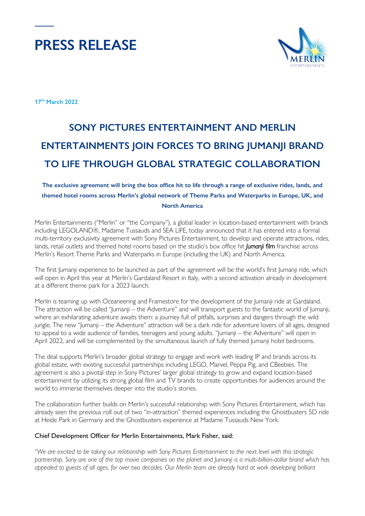



**17th March 2022**

# **SONY PICTURES ENTERTAINMENT AND MERLIN ENTERTAINMENTS JOIN FORCES TO BRING JUMANJI BRAND TO LIFE THROUGH GLOBAL STRATEGIC COLLABORATION**

### **The exclusive agreement will bring the box office hit to life through a range of exclusive rides, lands, and themed hotel rooms across Merlin's global network of Theme Parks and Waterparks in Europe, UK, and North America**

Merlin Entertainments ("Merlin" or "the Company"), a global leader in location-based entertainment with brands including LEGOLAND®, Madame Tussauds and SEA LIFE, today announced that it has entered into a formal multi-territory exclusivity agreement with Sony Pictures Entertainment, to develop and operate attractions, rides, lands, retail outlets and themed hotel rooms based on the studio's box office hit *Jumanji* film franchise across Merlin's Resort Theme Parks and Waterparks in Europe (including the UK) and North America.

The first Jumanji experience to be launched as part of the agreement will be the world's first Jumanji ride, which will open in April this year at Merlin's Gardaland Resort in Italy, with a second activation already in development at a different theme park for a 2023 launch.

Merlin is teaming up with Oceaneering and Framestore for the development of the Jumanji ride at Gardaland. The attraction will be called "Jumanji – the Adventure" and will transport guests to the fantastic world of Jumanji, where an exhilarating adventure awaits them: a journey full of pitfalls, surprises and dangers through the wild jungle. The new "Jumanji – the Adventure" attraction will be a dark ride for adventure lovers of all ages, designed to appeal to a wide audience of families, teenagers and young adults. "Jumanji – the Adventure" will open in April 2022, and will be complemented by the simultaneous launch of fully themed Jumanji hotel bedrooms.

The deal supports Merlin's broader global strategy to engage and work with leading IP and brands across its global estate, with existing successful partnerships including LEGO, Marvel, Peppa Pig, and CBeebies. The agreement is also a pivotal step in Sony Pictures' larger global strategy to grow and expand location-based entertainment by utilizing its strong global film and TV brands to create opportunities for audiences around the world to immerse themselves deeper into the studio's stories.

The collaboration further builds on Merlin's successful relationship with Sony Pictures Entertainment, which has already seen the previous roll out of two "in-attraction" themed experiences including the Ghostbusters 5D ride at Heide Park in Germany and the Ghostbusters experience at Madame Tussauds New York.

#### Chief Development Officer for Merlin Entertainments, Mark Fisher, said:

*"We are excited to be taking our relationship with Sony Pictures Entertainment to the next level with this strategic partnership. Sony are one of the top movie companies on the planet and Jumanji is a multi-billion-dollar brand which has appealed to guests of all ages, for over two decades. Our Merlin team are already hard at work developing brilliant*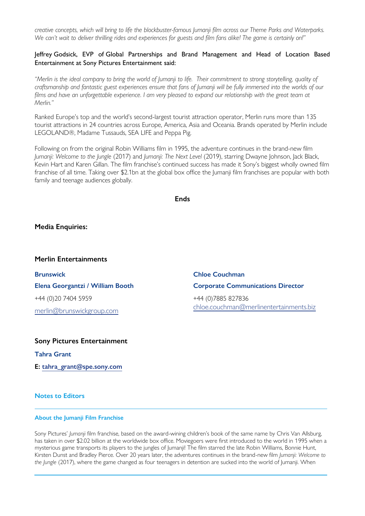*creative concepts, which will bring to life the blockbuster-famous Jumanji film across our Theme Parks and Waterparks. We can't wait to deliver thrilling rides and experiences for guests and film fans alike! The game is certainly on!"*

#### Jeffrey Godsick, EVP of Global Partnerships and Brand Management and Head of Location Based Entertainment at Sony Pictures Entertainment said:

*"Merlin is the ideal company to bring the world of Jumanji to life. Their commitment to strong storytelling, quality of craftsmanship and fantastic guest experiences ensure that fans of Jumanji will be fully immersed into the worlds of our films and have an unforgettable experience. I am very pleased to expand our relationship with the great team at Merlin."* 

Ranked Europe's top and the world's second-largest tourist attraction operator, Merlin runs more than 135 tourist attractions in 24 countries across Europe, America, Asia and Oceania. Brands operated by Merlin include LEGOLAND®, Madame Tussauds, SEA LIFE and Peppa Pig.

Following on from the original Robin Williams film in 1995, the adventure continues in the brand-new film *Jumanji: Welcome to the Jungle* (2017) and *Jumanji: The Next Level* (2019), starring Dwayne Johnson, Jack Black, Kevin Hart and Karen Gillan. The film franchise's continued success has made it Sony's biggest wholly owned film franchise of all time. Taking over \$2.1bn at the global box office the Jumanji film franchises are popular with both family and teenage audiences globally.

#### **Ends**

#### **Media Enquiries:**

#### **Merlin Entertainments**

**Brunswick Elena Georgantzi / William Booth** +44 (0)20 7404 5959 [merlin@brunswickgroup.com](mailto:merlin@brunswickgroup.com)

## **Chloe Couchman Corporate Communications Director** +44 (0)7885 827836

[chloe.couchman@merlinentertainments.biz](mailto:chloe.couchman@merlinentertainments.biz)

#### **Sony Pictures Entertainment**

**Tahra Grant**

**E: [tahra\\_grant@spe.sony.com](mailto:tahra_grant@spe.sony.com)**

**Notes to Editors**

#### **About the Jumanji Film Franchise**

Sony Pictures' *Jumanji* film franchise, based on the award-wining children's book of the same name by Chris Van Allsburg, has taken in over \$2.02 billion at the worldwide box office. Moviegoers were first introduced to the world in 1995 when a mysterious game transports its players to the jungles of Jumanji! The film starred the late Robin Williams, Bonnie Hunt, Kirsten Dunst and Bradley Pierce. Over 20 years later, the adventures continues in the brand-new film *Jumanji: Welcome to the Jungle* (2017), where the game changed as four teenagers in detention are sucked into the world of Jumanji. When